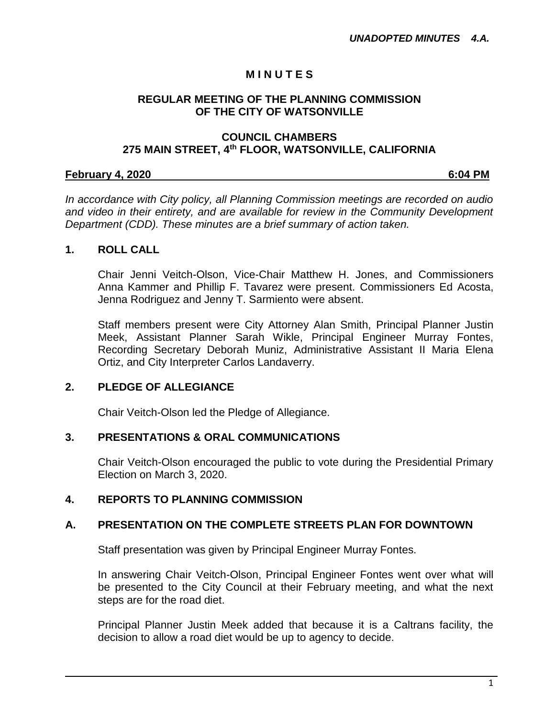## **M I N U T E S**

## **REGULAR MEETING OF THE PLANNING COMMISSION OF THE CITY OF WATSONVILLE**

## **COUNCIL CHAMBERS 275 MAIN STREET, 4th FLOOR, WATSONVILLE, CALIFORNIA**

## **February 4, 2020 6:04 PM**

*In accordance with City policy, all Planning Commission meetings are recorded on audio and video in their entirety, and are available for review in the Community Development Department (CDD). These minutes are a brief summary of action taken.*

## **1. ROLL CALL**

Chair Jenni Veitch-Olson, Vice-Chair Matthew H. Jones, and Commissioners Anna Kammer and Phillip F. Tavarez were present. Commissioners Ed Acosta, Jenna Rodriguez and Jenny T. Sarmiento were absent.

Staff members present were City Attorney Alan Smith, Principal Planner Justin Meek, Assistant Planner Sarah Wikle, Principal Engineer Murray Fontes, Recording Secretary Deborah Muniz, Administrative Assistant II Maria Elena Ortiz, and City Interpreter Carlos Landaverry.

## **2. PLEDGE OF ALLEGIANCE**

Chair Veitch-Olson led the Pledge of Allegiance.

## **3. PRESENTATIONS & ORAL COMMUNICATIONS**

Chair Veitch-Olson encouraged the public to vote during the Presidential Primary Election on March 3, 2020.

## **4. REPORTS TO PLANNING COMMISSION**

## **A. PRESENTATION ON THE COMPLETE STREETS PLAN FOR DOWNTOWN**

Staff presentation was given by Principal Engineer Murray Fontes.

In answering Chair Veitch-Olson, Principal Engineer Fontes went over what will be presented to the City Council at their February meeting, and what the next steps are for the road diet.

Principal Planner Justin Meek added that because it is a Caltrans facility, the decision to allow a road diet would be up to agency to decide.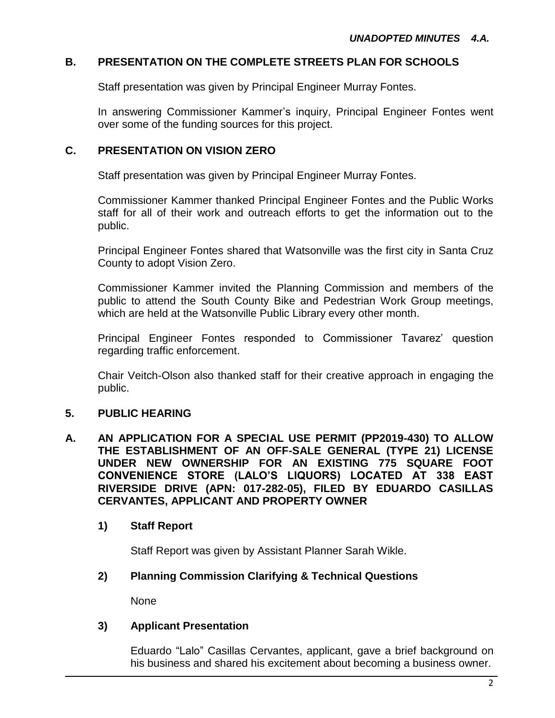## **B. PRESENTATION ON THE COMPLETE STREETS PLAN FOR SCHOOLS**

Staff presentation was given by Principal Engineer Murray Fontes.

In answering Commissioner Kammer's inquiry, Principal Engineer Fontes went over some of the funding sources for this project.

## **C. PRESENTATION ON VISION ZERO**

Staff presentation was given by Principal Engineer Murray Fontes.

Commissioner Kammer thanked Principal Engineer Fontes and the Public Works staff for all of their work and outreach efforts to get the information out to the public.

Principal Engineer Fontes shared that Watsonville was the first city in Santa Cruz County to adopt Vision Zero.

Commissioner Kammer invited the Planning Commission and members of the public to attend the South County Bike and Pedestrian Work Group meetings, which are held at the Watsonville Public Library every other month.

Principal Engineer Fontes responded to Commissioner Tavarez' question regarding traffic enforcement.

Chair Veitch-Olson also thanked staff for their creative approach in engaging the public.

## **5. PUBLIC HEARING**

**A. AN APPLICATION FOR A SPECIAL USE PERMIT (PP2019-430) TO ALLOW THE ESTABLISHMENT OF AN OFF-SALE GENERAL (TYPE 21) LICENSE UNDER NEW OWNERSHIP FOR AN EXISTING 775 SQUARE FOOT CONVENIENCE STORE (LALO'S LIQUORS) LOCATED AT 338 EAST RIVERSIDE DRIVE (APN: 017-282-05), FILED BY EDUARDO CASILLAS CERVANTES, APPLICANT AND PROPERTY OWNER**

## **1) Staff Report**

Staff Report was given by Assistant Planner Sarah Wikle.

## **2) Planning Commission Clarifying & Technical Questions**

None

# **3) Applicant Presentation**

Eduardo "Lalo" Casillas Cervantes, applicant, gave a brief background on his business and shared his excitement about becoming a business owner.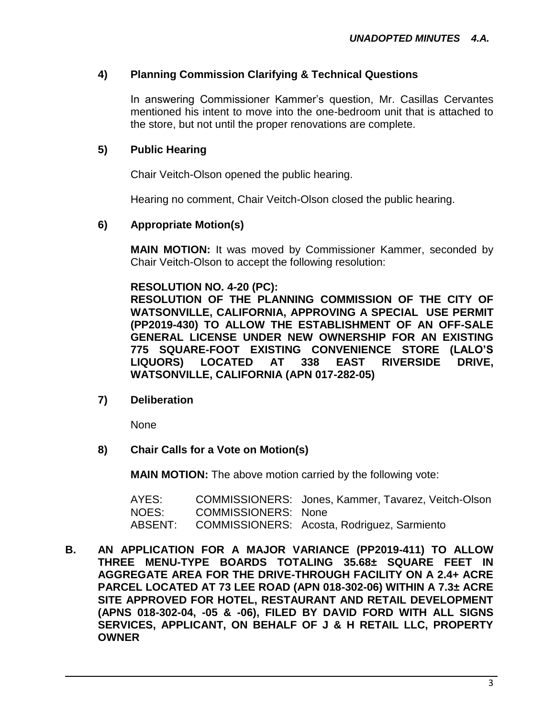## **4) Planning Commission Clarifying & Technical Questions**

In answering Commissioner Kammer's question, Mr. Casillas Cervantes mentioned his intent to move into the one-bedroom unit that is attached to the store, but not until the proper renovations are complete.

### **5) Public Hearing**

Chair Veitch-Olson opened the public hearing.

Hearing no comment, Chair Veitch-Olson closed the public hearing.

#### **6) Appropriate Motion(s)**

**MAIN MOTION:** It was moved by Commissioner Kammer, seconded by Chair Veitch-Olson to accept the following resolution:

#### **RESOLUTION NO. 4-20 (PC):**

**RESOLUTION OF THE PLANNING COMMISSION OF THE CITY OF WATSONVILLE, CALIFORNIA, APPROVING A SPECIAL USE PERMIT (PP2019-430) TO ALLOW THE ESTABLISHMENT OF AN OFF-SALE GENERAL LICENSE UNDER NEW OWNERSHIP FOR AN EXISTING 775 SQUARE-FOOT EXISTING CONVENIENCE STORE (LALO'S LIQUORS) LOCATED AT 338 EAST RIVERSIDE DRIVE, WATSONVILLE, CALIFORNIA (APN 017-282-05)**

**7) Deliberation**

None

**8) Chair Calls for a Vote on Motion(s)**

**MAIN MOTION:** The above motion carried by the following vote:

| AYES:   |                            | COMMISSIONERS: Jones, Kammer, Tavarez, Veitch-Olson |
|---------|----------------------------|-----------------------------------------------------|
| NOES:   | <b>COMMISSIONERS: None</b> |                                                     |
| ABSENT: |                            | COMMISSIONERS: Acosta, Rodriguez, Sarmiento         |

**B. AN APPLICATION FOR A MAJOR VARIANCE (PP2019-411) TO ALLOW THREE MENU-TYPE BOARDS TOTALING 35.68± SQUARE FEET IN AGGREGATE AREA FOR THE DRIVE-THROUGH FACILITY ON A 2.4+ ACRE PARCEL LOCATED AT 73 LEE ROAD (APN 018-302-06) WITHIN A 7.3± ACRE SITE APPROVED FOR HOTEL, RESTAURANT AND RETAIL DEVELOPMENT (APNS 018-302-04, -05 & -06), FILED BY DAVID FORD WITH ALL SIGNS SERVICES, APPLICANT, ON BEHALF OF J & H RETAIL LLC, PROPERTY OWNER**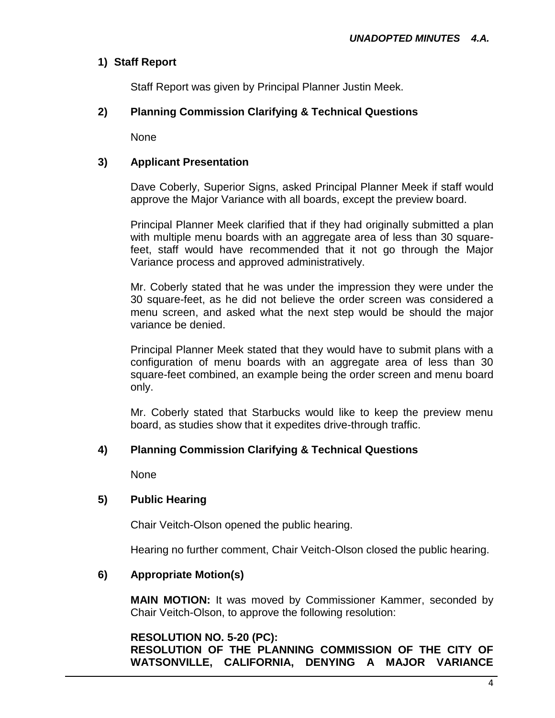## **1) Staff Report**

Staff Report was given by Principal Planner Justin Meek.

## **2) Planning Commission Clarifying & Technical Questions**

None

## **3) Applicant Presentation**

Dave Coberly, Superior Signs, asked Principal Planner Meek if staff would approve the Major Variance with all boards, except the preview board.

Principal Planner Meek clarified that if they had originally submitted a plan with multiple menu boards with an aggregate area of less than 30 squarefeet, staff would have recommended that it not go through the Major Variance process and approved administratively.

Mr. Coberly stated that he was under the impression they were under the 30 square-feet, as he did not believe the order screen was considered a menu screen, and asked what the next step would be should the major variance be denied.

Principal Planner Meek stated that they would have to submit plans with a configuration of menu boards with an aggregate area of less than 30 square-feet combined, an example being the order screen and menu board only.

Mr. Coberly stated that Starbucks would like to keep the preview menu board, as studies show that it expedites drive-through traffic.

### **4) Planning Commission Clarifying & Technical Questions**

None

## **5) Public Hearing**

Chair Veitch-Olson opened the public hearing.

Hearing no further comment, Chair Veitch-Olson closed the public hearing.

## **6) Appropriate Motion(s)**

**MAIN MOTION:** It was moved by Commissioner Kammer, seconded by Chair Veitch-Olson, to approve the following resolution:

### **RESOLUTION NO. 5-20 (PC):**

**RESOLUTION OF THE PLANNING COMMISSION OF THE CITY OF WATSONVILLE, CALIFORNIA, DENYING A MAJOR VARIANCE**